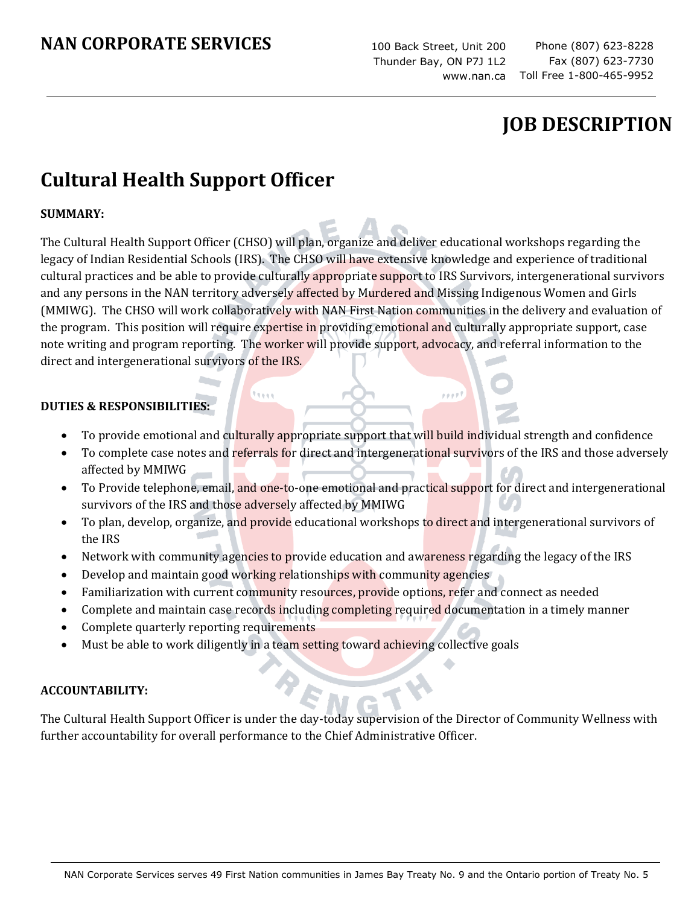100 Back Street, Unit 200 Thunder Bay, ON P7J 1L2 www.nan.ca

 $p, p, p, \theta$  ?

Phone (807) 623-8228 Fax (807) 623-7730 Toll Free 1-800-465-9952

# **JOB DESCRIPTION**

# **Cultural Health Support Officer**

### **SUMMARY:**

The Cultural Health Support Officer (CHSO) will plan, organize and deliver educational workshops regarding the legacy of Indian Residential Schools (IRS). The CHSO will have extensive knowledge and experience of traditional cultural practices and be able to provide culturally appropriate support to IRS Survivors, intergenerational survivors and any persons in the NAN territory adversely affected by Murdered and Missing Indigenous Women and Girls (MMIWG). The CHSO will work collaboratively with NAN First Nation communities in the delivery and evaluation of the program. This position will require expertise in providing emotional and culturally appropriate support, case note writing and program reporting. The worker will provide support, advocacy, and referral information to the direct and intergenerational survivors of the IRS.

#### **DUTIES & RESPONSIBILITIES:**

- To provide emotional and culturally appropriate support that will build individual strength and confidence
- To complete case notes and referrals for direct and intergenerational survivors of the IRS and those adversely affected by MMIWG
- To Provide telephone, email, and one-to-one emotional and practical support for direct and intergenerational survivors of the IRS and those adversely affected by MMIWG
- To plan, develop, organize, and provide educational workshops to direct and intergenerational survivors of the IRS
- Network with community agencies to provide education and awareness regarding the legacy of the IRS
- Develop and maintain good working relationships with community agencies

**There** 

- Familiarization with current community resources, provide options, refer and connect as needed
- Complete and maintain case records including completing required documentation in a timely manner
- Complete quarterly reporting requirements
- Must be able to work diligently in a team setting toward achieving collective goals

#### **ACCOUNTABILITY:**

The Cultural Health Support Officer is under the day-today supervision of the Director of Community Wellness with further accountability for overall performance to the Chief Administrative Officer.